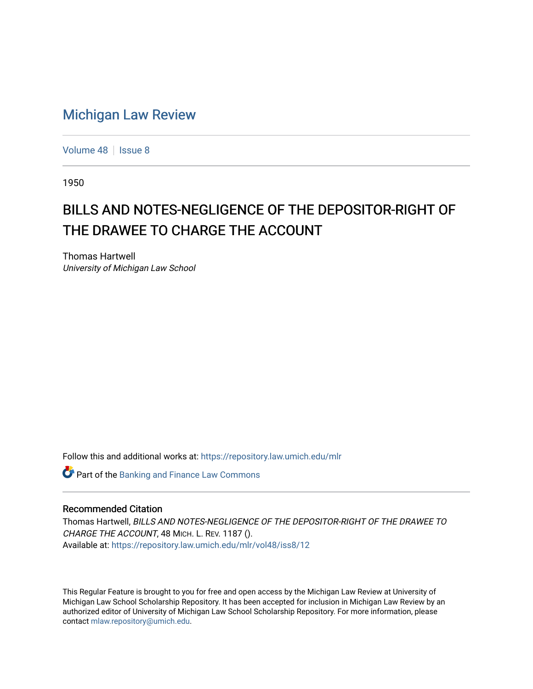## [Michigan Law Review](https://repository.law.umich.edu/mlr)

[Volume 48](https://repository.law.umich.edu/mlr/vol48) | [Issue 8](https://repository.law.umich.edu/mlr/vol48/iss8)

1950

## BILLS AND NOTES-NEGLIGENCE OF THE DEPOSITOR-RIGHT OF THE DRAWEE TO CHARGE THE ACCOUNT

Thomas Hartwell University of Michigan Law School

Follow this and additional works at: [https://repository.law.umich.edu/mlr](https://repository.law.umich.edu/mlr?utm_source=repository.law.umich.edu%2Fmlr%2Fvol48%2Fiss8%2F12&utm_medium=PDF&utm_campaign=PDFCoverPages) 

**Part of the Banking and Finance Law Commons** 

## Recommended Citation

Thomas Hartwell, BILLS AND NOTES-NEGLIGENCE OF THE DEPOSITOR-RIGHT OF THE DRAWEE TO CHARGE THE ACCOUNT, 48 MICH. L. REV. 1187 (). Available at: [https://repository.law.umich.edu/mlr/vol48/iss8/12](https://repository.law.umich.edu/mlr/vol48/iss8/12?utm_source=repository.law.umich.edu%2Fmlr%2Fvol48%2Fiss8%2F12&utm_medium=PDF&utm_campaign=PDFCoverPages) 

This Regular Feature is brought to you for free and open access by the Michigan Law Review at University of Michigan Law School Scholarship Repository. It has been accepted for inclusion in Michigan Law Review by an authorized editor of University of Michigan Law School Scholarship Repository. For more information, please contact [mlaw.repository@umich.edu](mailto:mlaw.repository@umich.edu).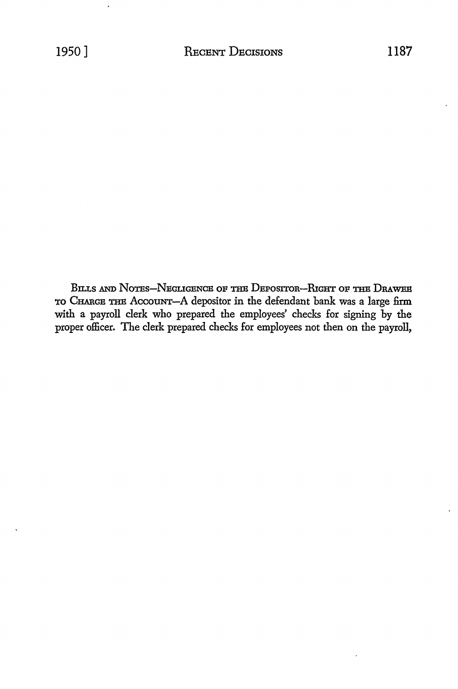BILLS AND NOTES-NEGLIGENCE OF THE DEPOSITOR-RIGHT OF THE DRAWEE TO CHARGE THE AccouNT-A depositor in the defendant bank was a large firm with a payroll clerk who prepared the employees' checks for signing by the proper officer. The clerk prepared checks for employees not then on the payroll,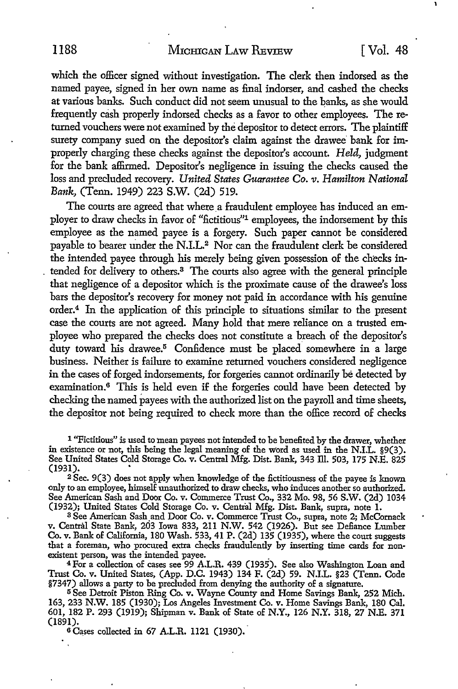which the officer signed without investigation. The clerk then indorsed as the named payee, signed in her own name as final indorser, and cashed the checks at various banks. Such conduct did not seem unusual to the banks, as she would frequently cash properly indorsed checks as a favor to other employees. The returned vouchers were not examined by the depositor to detect errors. The plaintiff surety company sued on the depositor's claim against the drawee bank for improperly charging these checks against the depositor's account. *Held,* judgment for the bank affirmed. Depositor's negligence in issuing the checks caused the loss and precluded recovery. *United States Guarantee Co. v. Hamilton National Bank,* (Tenn. 1949) 223 **S.W.** (2d) 519.

The courts are agreed that where a fraudulent employee has induced an employer to draw checks in favor of "fictitious"1 employees, the indorsement by this employee as the named payee is a forgery. Such paper cannot be considered payable to bearer under the N.I.L.<sup>2</sup> Nor can the fraudulent clerk be considered the intended payee through his merely being given possession of the checks intended for delivery to others.<sup>3</sup> The courts also agree with the general principle that negligence of a depositor which is the proximate cause of the drawee's loss bars the depositor's recovery for money not paid in accordance with his genuine order.<sup>4</sup> In the application of this principle to situations similar to the present case the courts are not agreed. Many hold that mere reliance on a trusted employee who prepared the checks does not constitute a breach of the depositor's duty toward his drawee.<sup>5</sup> Confidence must be placed somewhere in a large business. Neither is failure to examine returned vouchers considered negligence in the cases of forged indorsements, for forgeries cannot ordinarily be detected by examination.<sup>6</sup> This is held even if the forgeries could have been detected by checking the named payees with the authorized list on the payroll and time sheets, the depositor not being required to check more than the office record of checks

<sup>1</sup> "Fictitious" is used to mean payees not intended to be benefited by the drawer, whether in existence or not, this being the legal meaning of the word as used in the N.I.L. §9(3). See United States Cold Storage Co. v. Central Mfg. Dist. Bank, 343 lli. 503, 175 N.E. 825 (1931).

<sup>2</sup>Sec. 9(3) does not apply when knowledge of the fictitiousness of the payee is known only to an employee, himself unauthorized to draw checks, who induces another so authorized. See American Sash and Door Co. v. Commerce Trust Co., 332 Mo. 98, 56 S.W. (2d) 1034 (1932); United States Cold Storage Co. v. Central Mfg. Dist. Bank, supra, note 1.

v. Central State Bank, 203 Iowa 833, 211 N.W. 542 (1926). But see Defiance Lumber **Co. v.** Bank of California, 180 Wash. 533, 41 P. (2d) 135 (1935), where the court suggests that a foreman, who procured extra checks fraudulently by inserting time cards for non-existent person, was the intended payee.

<sup>4</sup>For a collection of cases see 99 A.L.R. 439 (1935). See also Washington Loan and Trust Co. v. United States, (App. D.C. 1943) 134 F. (2d) 59. N.I.L. §23 (Tenn. Code §7347) allows a party to be precluded from denying the authority of a signature.

5 See Detroit Piston Ring Co. v. Wayne County and Home Savings Bank, 252 Mich. 163, 233 N.W. 185 (1930); Los Angeles Investment Co. v. Home Savings Bank, 180 Cal. 601, 182 P. 293 (1919); Shipman v. Bank of State of N.Y., 126 N.Y. 318, 27 N.E. 371 (1891).

6 Cases collected in 67 A.L.R. 1121 (1930).